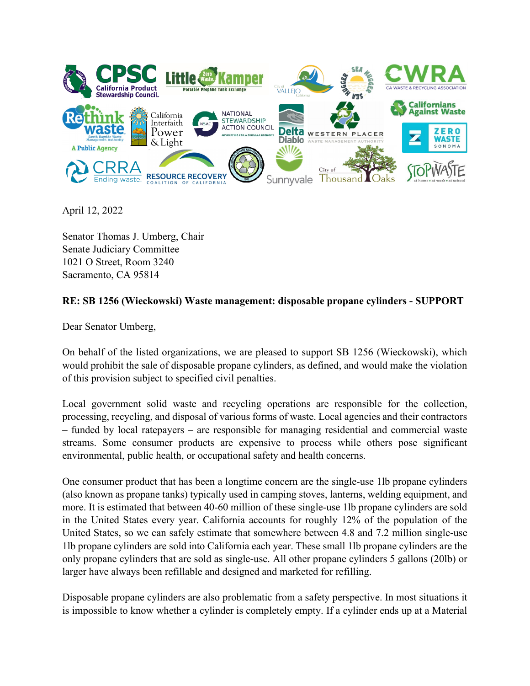

April 12, 2022

Senator Thomas J. Umberg, Chair Senate Judiciary Committee 1021 O Street, Room 3240 Sacramento, CA 95814

## **RE: SB 1256 (Wieckowski) Waste management: disposable propane cylinders - SUPPORT**

Dear Senator Umberg,

On behalf of the listed organizations, we are pleased to support SB 1256 (Wieckowski), which would prohibit the sale of disposable propane cylinders, as defined, and would make the violation of this provision subject to specified civil penalties.

Local government solid waste and recycling operations are responsible for the collection, processing, recycling, and disposal of various forms of waste. Local agencies and their contractors – funded by local ratepayers – are responsible for managing residential and commercial waste streams. Some consumer products are expensive to process while others pose significant environmental, public health, or occupational safety and health concerns.

One consumer product that has been a longtime concern are the single-use 1lb propane cylinders (also known as propane tanks) typically used in camping stoves, lanterns, welding equipment, and more. It is estimated that between 40-60 million of these single-use 1lb propane cylinders are sold in the United States every year. California accounts for roughly 12% of the population of the United States, so we can safely estimate that somewhere between 4.8 and 7.2 million single-use 1lb propane cylinders are sold into California each year. These small 1lb propane cylinders are the only propane cylinders that are sold as single-use. All other propane cylinders 5 gallons (20lb) or larger have always been refillable and designed and marketed for refilling.

Disposable propane cylinders are also problematic from a safety perspective. In most situations it is impossible to know whether a cylinder is completely empty. If a cylinder ends up at a Material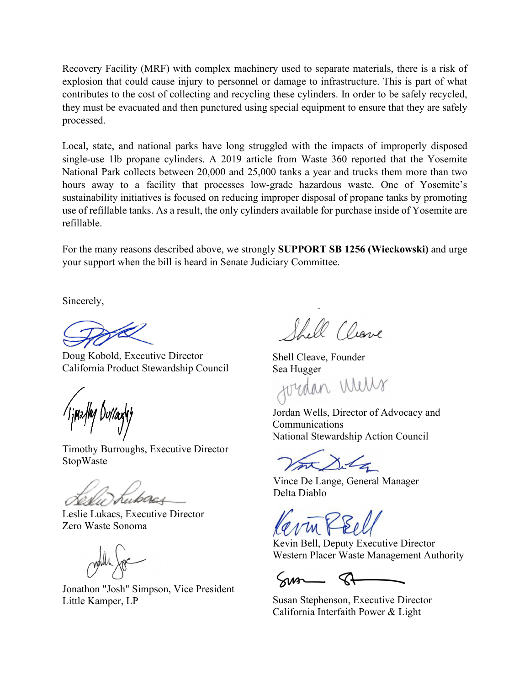Recovery Facility (MRF) with complex machinery used to separate materials, there is a risk of explosion that could cause injury to personnel or damage to infrastructure. This is part of what contributes to the cost of collecting and recycling these cylinders. In order to be safely recycled, they must be evacuated and then punctured using special equipment to ensure that they are safely processed.

Local, state, and national parks have long struggled with the impacts of improperly disposed single-use 1lb propane cylinders. A 2019 article from Waste 360 reported that the Yosemite National Park collects between 20,000 and 25,000 tanks a year and trucks them more than two hours away to a facility that processes low-grade hazardous waste. One of Yosemite's sustainability initiatives is focused on reducing improper disposal of propane tanks by promoting use of refillable tanks. As a result, the only cylinders available for purchase inside of Yosemite are refillable.

For the many reasons described above, we strongly **SUPPORT SB 1256 (Wieckowski)** and urge your support when the bill is heard in Senate Judiciary Committee.

Sincerely,

Doug Kobold, Executive Director California Product Stewardship Council

Timothy Burroughs, Executive Director StopWaste

Leslie Lukacs, Executive Director Zero Waste Sonoma

Jonathon "Josh" Simpson, Vice President Little Kamper, LP

Shell Cleave

Shell Cleave, Founder

Sea Hugger<br>JUUMAN WUWX

Jordan Wells, Director of Advocacy and Communications National Stewardship Action Council

Vince De Lange, General Manager Delta Diablo

Kevin Bell, Deputy Executive Director Western Placer Waste Management Authority

 $5.002$ 

Susan Stephenson, Executive Director California Interfaith Power & Light